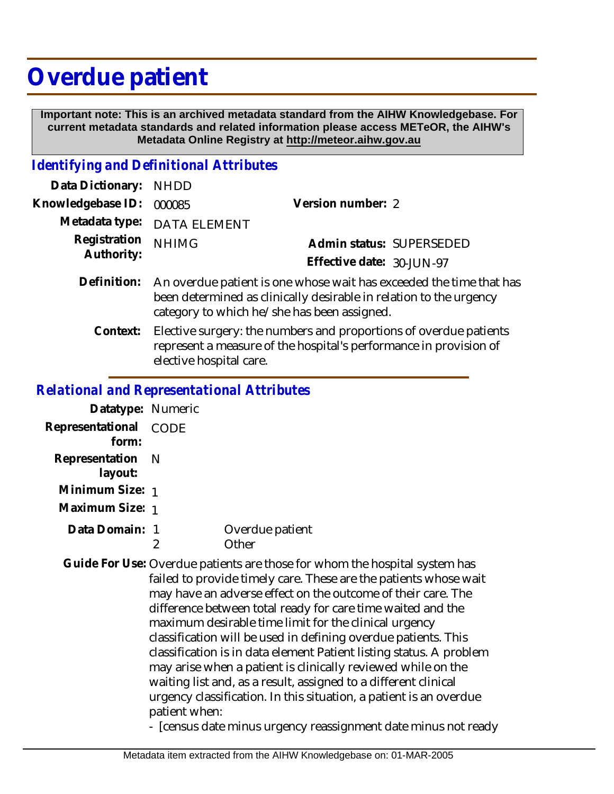# **Overdue patient**

 **Important note: This is an archived metadata standard from the AIHW Knowledgebase. For current metadata standards and related information please access METeOR, the AIHW's Metadata Online Registry at http://meteor.aihw.gov.au**

### *Identifying and Definitional Attributes*

| Data Dictionary: NHDD      |                                                                                                                                                                                          |                                                       |  |
|----------------------------|------------------------------------------------------------------------------------------------------------------------------------------------------------------------------------------|-------------------------------------------------------|--|
| Knowledgebase ID:          | 000085                                                                                                                                                                                   | Version number: 2                                     |  |
|                            | Metadata type: DATA ELEMENT                                                                                                                                                              |                                                       |  |
| Registration<br>Authority: | <b>NHIMG</b>                                                                                                                                                                             | Admin status: SUPERSEDED<br>Effective date: 30-JUN-97 |  |
| Definition:                | An overdue patient is one whose wait has exceeded the time that has<br>been determined as clinically desirable in relation to the urgency<br>category to which he/she has been assigned. |                                                       |  |

Elective surgery: the numbers and proportions of overdue patients represent a measure of the hospital's performance in provision of elective hospital care. **Context:**

## *Relational and Representational Attributes*

| Datatype: Numeric              |                         |
|--------------------------------|-------------------------|
| Representational CODE<br>form: |                         |
| Representation N<br>layout:    |                         |
| Minimum Size: 1                |                         |
| Maximum Size: 1                |                         |
| Data Domain: 1                 | Overdue patient<br>ther |

Guide For Use: Overdue patients are those for whom the hospital system has failed to provide timely care. These are the patients whose wait may have an adverse effect on the outcome of their care. The difference between total ready for care time waited and the maximum desirable time limit for the clinical urgency classification will be used in defining overdue patients. This classification is in data element Patient listing status. A problem may arise when a patient is clinically reviewed while on the waiting list and, as a result, assigned to a different clinical urgency classification. In this situation, a patient is an overdue patient when:

- [census date minus urgency reassignment date minus not ready